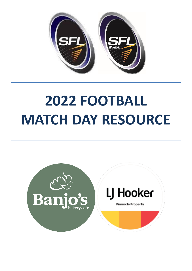

# **2022 FOOTBALL MATCH DAY RESOURCE**

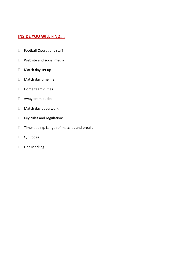# **INSIDE YOU WILL FIND….**

- Football Operations staff
- Website and social media
- □ Match day set up
- Match day timeline
- $\Box$  Home team duties
- Away team duties
- Match day paperwork
- $\Box$  Key rules and regulations
- $\Box$  Timekeeping, Length of matches and breaks
- QR Codes
- $\Box$  Line Marking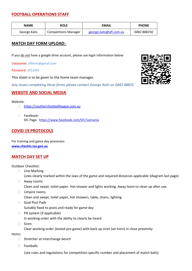# **FOOTBALL OPERATIONS STAFF**

| <b>NAME</b>  | <b>ROLE</b>                 | <b>EMAIL</b>            | <b>PHONE</b> |
|--------------|-----------------------------|-------------------------|--------------|
| George Kalis | <b>Competitions Manager</b> | george.kalis@afl.com.au | 0482888250   |

# **MATCH DAY FORM UPLOAD:**

If you do not have a google drive account, please use login information below

Username: sflform@gmail.com

Password: sfl12345

This sheet is to be given to the home team manager.

*Any issues completing these forms please contact George Kalis on 0482 88825*

#### **WEBSITE AND SOCIAL MEDIA**

Website:

- □ [https://southernfootballleague.com.au](https://urldefense.com/v3/__https:/southernfootballleague.com.au__;!!MoAtgck!O2pyiFnjLm-CCpohvXESnnDiFPx12pLFRFWjIxHVyRUJxtBrbvI9Wyb_FzeCkHkS5Q$)
- □ Facebook: SFL Page- <https://www.facebook.com/SFLTasmania>

# **COVID 19 PROTOCOLS**

For training and game day processes: **[www.checkin.tas.gov.au](http://www.checkin.tas.gov.au/)**

#### **MATCH DAY SET UP**

Outdoor Checklist:

- □ Line Marking Lines clearly marked within the laws of the game and required distances applicable (diagram last page)
- Away rooms Clean and swept, toilet paper. Hot shower and lights working. Away team to clean up after use.
- Umpire rooms
	- Clean and swept, toilet paper, hot showers, table, chairs, lighting
- Goal Post Pads Suitably fixed to posts and ready for game day
- □ PA system (if applicable)

In working order with the ability to clearly be heard

Siren

Clear working order (tested pre-game) with back up siren (air horn) in close proximity

Items:

- $\Box$  Stretcher at interchange bench
- □ Footballs

(see rules and regulations for competition specific number and placement of match balls)

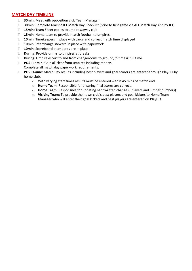#### **MATCH DAY TIMELINE**

- **30min:** Meet with opposition club Team Manager
- **30min:** Complete Marsh/ JLT Match Day Checklist (prior to first game via AFL Match Day App by JLT)
- **15min:** Team Sheet copies to umpires/away club
- **15min**: Home team to provide match football to umpires.
- **10min**: Timekeepers in place with cards and correct match time displayed
- **10min**: Interchange steward in place with paperwork
- **10min**: Scoreboard attendants are in place
- **During**: Provide drinks to umpires at breaks
- **During:** Umpire escort to and from changerooms to ground, ½ time & full time.
- **POST 15min:** Gain all clear from umpires including reports. Complete all match day paperwork requirements.
- **POST Game**: Match Day results including best players and goal scorers are entered through PlayHQ by home club.
	- o With varying start times results must be entered within 45 mins of match end.
	- o **Home Team**: Responsible for ensuring final scores are correct.
	- o **Home Team**: Responsible for updating handwritten changes. (players and jumper numbers)
	- o **Visiting Team**: To provide their own club's best players and goal kickers to Home Team Manager who will enter their goal kickers and best players are entered on PlayHQ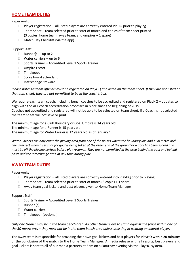# **HOME TEAM DUTIES**

#### Paperwork:

- $\Box$  Player registration all listed players are correctly entered PlaHQ prior to playing
- $\Box$  Team sheet team selected prior to start of match and copies of team sheet printed (3 copies: home team, away team, and umpires + 1 spare)
- $\Box$  Match Day Checklist (via the app)

#### Support Staff:

- $\Box$  Runner(s) up to 2
- $\Box$  Water carriers up to 6
- $\Box$  Sports Trainer Accredited Level 1 Sports Trainer
- Umpire Escort
- Timekeeper
- $\Box$  Score board attendant
- $\Box$  Interchange Steward

*Please note: All team officials must be registered on PlayHQ and listed on the team sheet. If they are not listed on the team sheet, they are not permitted to be in the coach's box.*

We require each team coach, including bench coaches to be accredited and registered on PlayHQ – updates to align with the AFL coach accreditation processes in place since the beginning of 2019.

Coaches not accredited and registered will not be able to be selected on team sheet. If a Coach is not selected the team sheet will not save or print.

The minimum age for a Club Boundary or Goal Umpire is 14 years old. The minimum age for a Runner is 15 years old. The minimum age for Water Carrier is 12 years old as of January 1.

*Water Carriers can only enter the playing area from one of the points where the boundary line and a 50 metre arch*  line intersect when a set shot for goal is being taken at the other end of the ground or a goal has been scored and *must be off the playing surface before play resumes. They are not permitted in the area behind the goal and behind posts and the interchange area at any time during play.*

#### **AWAY TEAM DUTIES**

#### Paperwork:

- $\Box$  Player registration all listed players are correctly entered into PlayHQ prior to playing
- $\Box$  Team sheet team selected prior to start of match (3 copies + 1 spare)
- $\Box$  Away team goal kickers and best players given to Home Team Manager

#### Support Staff:

- $\Box$  Sports Trainer Accredited Level 1 Sports Trainer
- □ Runner (s)
- Water carriers
- □ Timekeeper (optional)

*Only one trainer may be in the team bench area. All other trainers are to stand against the fence within one of the 50 metre arcs – they must not be in the team bench area unless assisting in treating an injured player.*

The away team is responsible for providing their own goal kickers and best players for PlayHQ **within 20 minutes** of the conclusion of the match to the Home Team Manager. A media release with all results, best players and goal kickers is sent to all of our media partners at 6pm on a Saturday evening via the PlayHQ system.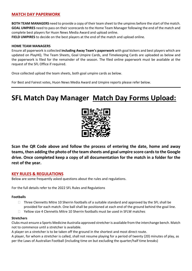# **MATCH DAY PAPERWORK**

**BOTH TEAM MANAGERS** need to provide a copy of their team sheet to the umpires before the start of the match. **GOAL UMPIRES** need to pass on their scorecards to the Home Team Manager following the end of the match and complete best players for Huon News Media Award and upload online.

**FIELD UMPIRES** to decide on the best players at the end of the match and upload online.

#### **HOME TEAM MANAGERS**

Ensure all paperwork is collected **including Away Team's paperwork** with goal kickers and best players which are updated on PlayHQ. The Team Sheets, Goal Umpire Cards, and Timekeeping Cards are uploaded as below and the paperwork is filed for the remainder of the season. The filed online paperwork must be available at the request of the SFL Office if required.

Once collected upload the team sheets, both goal umpire cards as below.

For Best and Fairest votes, Huon News Media Award and Umpire reports please refer below.

# **SFL Match Day Manager Match Day Forms Upload:**



**Scan the QR Code above and follow the process of entering the date, home and away teams, then adding the photo of the team sheets and goal umpire score cards to the Google drive. Once completed keep a copy of all documentation for the match in a folder for the rest of the year.**

#### **KEY RULES & REGULATIONS**

Below are some frequently asked questions about the rules and regulations.

For the full details refer to the 2022 SFL Rules and Regulations

#### **Footballs**

- $\Box$  Three Clennetts Mitre 10 Sherrin footballs of a suitable standard and approved by the SFL shall be provided for each match. One ball shall be positioned at each end of the ground behind the goal line.
- $\Box$  Yellow size 4 Clennetts Mitre 10 Sherrin footballs must be used in SFLW matches

#### **Stretchers**

Clubs must ensure a Sports Medicine Australia approved stretcher is available from the interchange bench. Match not to commence until a stretcher is available.

A player on a stretcher is to be taken off the ground in the shortest and most direct route.

A player, for whom a stretcher is called, shall not resume playing for a period of twenty (20) minutes of play, as per the Laws of Australian Football (including time on but excluding the quarter/half time breaks)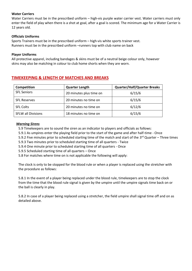#### **Water Carriers**

Water Carriers must be in the prescribed uniform – high-vis purple water carrier vest. Water carriers must only enter the field of play when there is a shot at goal, after a goal is scored. The minimum age for a Water Carrier is 12 years old.

#### **Officials Uniforms**

Sports Trainers must be in the prescribed uniform – high-vis white sports trainer vest. Runners must be in the prescribed uniform –runners top with club name on back

#### **Player Uniforms**

All protective apparel, including bandages & skins must be of a neutral beige colour only, however skins may also be matching in colour to club home shorts when they are worn.

| Competition               | <b>Quarter Length</b>   | <b>Quarter/Half/Quarter Breaks</b> |
|---------------------------|-------------------------|------------------------------------|
| <b>SFL Seniors</b>        | 20 minutes plus time on | 6/15/6                             |
| <b>SFL Reserves</b>       | 20 minutes no time on   | 6/15/6                             |
| <b>SFL Colts</b>          | 20 minutes no time on   | 6/12/6                             |
| <b>SFLW all Divisions</b> | 18 minutes no time on   | 6/15/6                             |

# **TIMEKEEPING & LENGTH OF MATCHES AND BREAKS**

#### *Warning Sirens*

- 5.9 Timekeepers are to sound the siren as an indicator to players and officials as follows:
- 5.9.1 As umpires enter the playing field prior to the start of the game and after half-time Once
- 5.9.2 Five minutes prior to scheduled starting time of the match and start of the 3<sup>rd</sup> Quarter Three times
- 5.9.3 Two minutes prior to scheduled starting time of all quarters Twice
- 5.9.4 One minute prior to scheduled starting time of all quarters Once
- 5.9.5 Scheduled starting time of all quarters Once
- 5.8 For matches where time on is not applicable the following will apply:

The clock is only to be stopped for the blood rule or when a player is replaced using the stretcher with the procedure as follows:

5.8.1 In the event of a player being replaced under the blood rule, timekeepers are to stop the clock from the time that the blood rule signal is given by the umpire until the umpire signals time back on or the ball is clearly in play.

5.8.2 In case of a player being replaced using a stretcher, the field umpire shall signal time off and on as detailed above.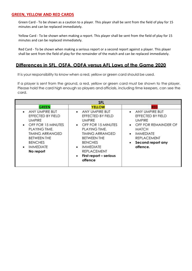### **GREEN, YELLOW AND RED CARDS**

Green Card - To be shown as a caution to a player. This player shall be sent from the field of play for 15 minutes and can be replaced immediately.

Yellow Card - To be shown when making a report. This player shall be sent from the field of play for 15 minutes and can be replaced immediately.

Red Card - To be shown when making a serious report or a second report against a player. This player shall be sent from the field of play for the remainder of the match and can be replaced immediately.

# Differences in SFL, OSFA, ODFA versus AFL Laws of the Game 2020

It is your responsibility to know when a red, yellow or green card should be used.

If a player is sent from the ground, a red, yellow or green card must be shown to the player. Please hold the card high enough so players and officials, including time keepers, can see the card.

| <b>SFL</b>                                                                                                                                                                                                                                                                  |                                                                                                                                                                                                     |  |  |  |
|-----------------------------------------------------------------------------------------------------------------------------------------------------------------------------------------------------------------------------------------------------------------------------|-----------------------------------------------------------------------------------------------------------------------------------------------------------------------------------------------------|--|--|--|
| <b>YELLOW</b>                                                                                                                                                                                                                                                               | RED                                                                                                                                                                                                 |  |  |  |
| ANY UMPIRE BUT<br>$\bullet$<br>EFFECTED BY FIELD<br><b>UMPIRE</b><br>OFF FOR 15 MINUTES<br>PLAYING TIME.<br><b>TIMING ARRANGED</b><br><b>BETWEEN THE</b><br><b>BENCHES</b><br><b>IMMEDIATE</b><br>٠<br><b>REPLACEMENT</b><br>First report - serious<br>$\bullet$<br>offence | ANY UMPIRE BUT<br>$\bullet$<br>EFFECTED BY FIELD<br><b>UMPIRE</b><br>OFF FOR REMAINDER OF<br>٠<br><b>MATCH</b><br><b>IMMEDIATE</b><br>٠<br><b>REPLACEMENT</b><br>Second report any<br>٠<br>offence. |  |  |  |
|                                                                                                                                                                                                                                                                             |                                                                                                                                                                                                     |  |  |  |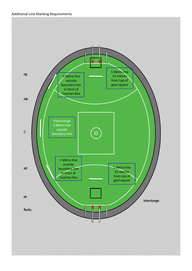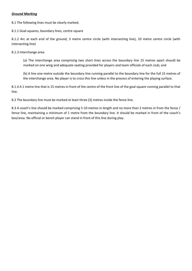#### *Ground Marking*

8.1 The following lines must be clearly marked.

8.1.1 Goal-squares, boundary lines, centre square

8.1.2 Arc at each end of the ground, 3 metre centre circle (with intersecting line), 10 metre centre circle (with intersecting line)

8.1.3 Interchange area:

(a) The interchange area comprising two short lines across the boundary line 15 metres apart should be marked on one wing and adequate seating provided for players and team officials of each club; and

(b) A line one metre outside the boundary line running parallel to the boundary line for the full 15 metres of the interchange area. No player is to cross this line unless in the process of entering the playing surface.

8.1.4 A 1 metre line that is 15 metres in front of the centre of the front line of the goal square running parallel to that line.

8.2 The boundary line must be marked at least three (3) metres inside the fence line.

8.3 A coach's line should be marked comprising 5-10 metres in length and no more than 2 metres in from the fence / fence line, maintaining a minimum of 1 metre from the boundary line. It should be marked in front of the coach's box/area. No official or bench player can stand in front of this line during play.